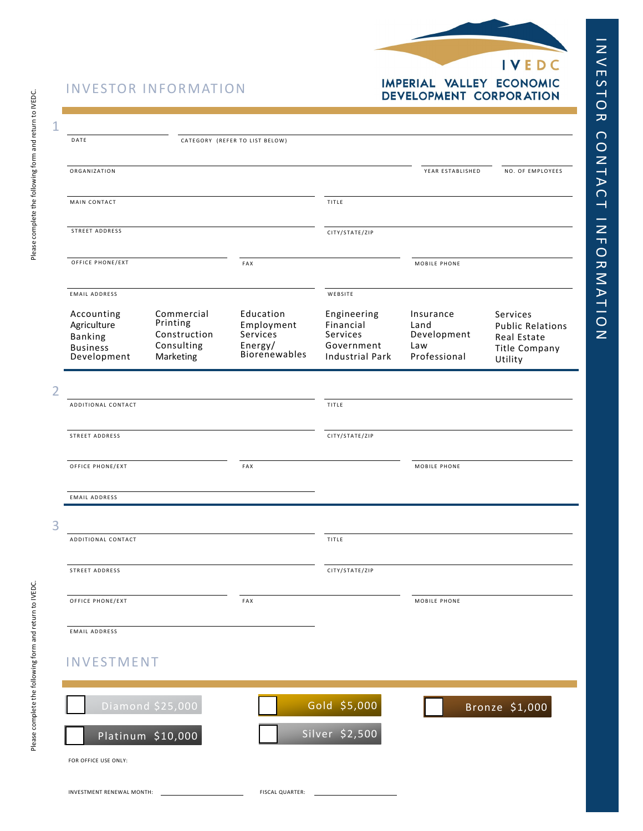

|<br>N E S

ー<br>R D

C<br>N<br>N

TA C

 $\overline{\phantom{0}}$ 

I N F O R AT I O N

## IMPERIAL VALLEY ECONOMIC<br>DEVELOPMENT CORPORATION

| <b>INVESTOR INFORMATION</b> |  |
|-----------------------------|--|
|-----------------------------|--|

| 1              |                                                                               |                                                                   |                                                                        |                                                                              |                                                         |                                                                                       |
|----------------|-------------------------------------------------------------------------------|-------------------------------------------------------------------|------------------------------------------------------------------------|------------------------------------------------------------------------------|---------------------------------------------------------|---------------------------------------------------------------------------------------|
|                | DATE                                                                          |                                                                   | CATEGORY (REFER TO LIST BELOW)                                         |                                                                              |                                                         |                                                                                       |
|                | ORGANIZATION                                                                  |                                                                   |                                                                        |                                                                              | YEAR ESTABLISHED                                        | NO. OF EMPLOYEES                                                                      |
|                | MAIN CONTACT                                                                  |                                                                   |                                                                        | TITLE                                                                        |                                                         |                                                                                       |
|                | STREET ADDRESS                                                                |                                                                   |                                                                        | CITY/STATE/ZIP                                                               |                                                         |                                                                                       |
|                | OFFICE PHONE/EXT                                                              |                                                                   | FAX                                                                    |                                                                              | MOBILE PHONE                                            |                                                                                       |
|                | <b>EMAIL ADDRESS</b>                                                          |                                                                   |                                                                        | WEBSITE                                                                      |                                                         |                                                                                       |
|                | Accounting<br>Agriculture<br><b>Banking</b><br><b>Business</b><br>Development | Commercial<br>Printing<br>Construction<br>Consulting<br>Marketing | Education<br>Employment<br>Services<br>Energy/<br><b>Biorenewables</b> | Engineering<br>Financial<br>Services<br>Government<br><b>Industrial Park</b> | Insurance<br>Land<br>Development<br>Law<br>Professional | Services<br><b>Public Relations</b><br>Real Estate<br><b>Title Company</b><br>Utility |
| $\overline{2}$ |                                                                               |                                                                   |                                                                        |                                                                              |                                                         |                                                                                       |
|                | ADDITIONAL CONTACT                                                            |                                                                   |                                                                        | TITLE                                                                        |                                                         |                                                                                       |
|                | STREET ADDRESS                                                                |                                                                   |                                                                        | CITY/STATE/ZIP                                                               |                                                         |                                                                                       |
|                | OFFICE PHONE/EXT                                                              |                                                                   | FAX                                                                    |                                                                              | MOBILE PHONE                                            |                                                                                       |
|                | <b>EMAIL ADDRESS</b>                                                          |                                                                   |                                                                        |                                                                              |                                                         |                                                                                       |
| 3              | ADDITIONAL CONTACT                                                            |                                                                   |                                                                        | TITLE                                                                        |                                                         |                                                                                       |
|                | STREET ADDRESS                                                                |                                                                   |                                                                        | CITY/STATE/ZIP                                                               |                                                         |                                                                                       |
|                | OFFICE PHONE/EXT                                                              |                                                                   | FAX                                                                    |                                                                              | MOBILE PHONE                                            |                                                                                       |
|                | <b>EMAIL ADDRESS</b>                                                          |                                                                   |                                                                        |                                                                              |                                                         |                                                                                       |
|                | <b>INVESTMENT</b>                                                             |                                                                   |                                                                        |                                                                              |                                                         |                                                                                       |
|                |                                                                               | Diamond \$25,000                                                  |                                                                        | Gold \$5,000                                                                 |                                                         | Bronze \$1,000                                                                        |
|                |                                                                               | Platinum \$10,000                                                 |                                                                        | Silver \$2,500                                                               |                                                         |                                                                                       |
|                | FOR OFFICE USE ONLY:                                                          |                                                                   |                                                                        |                                                                              |                                                         |                                                                                       |